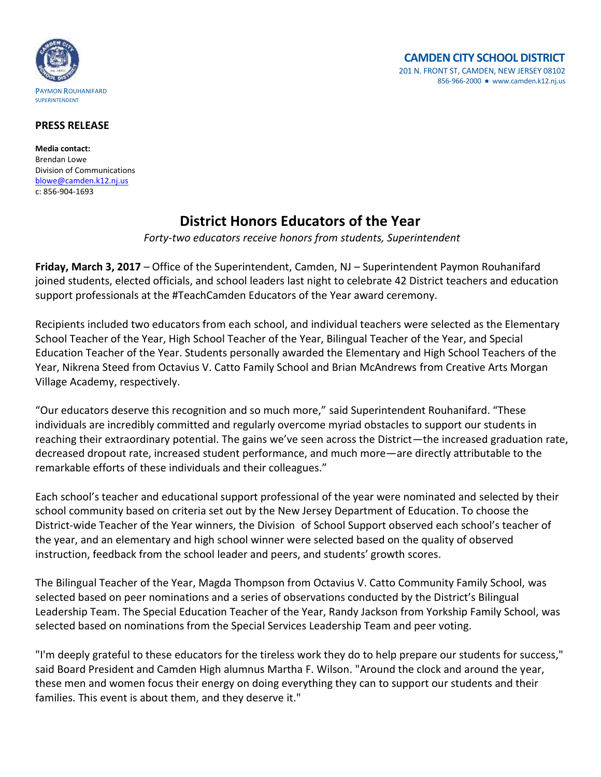

## **PRESS RELEASE**

**Media contact:** Brendan Lowe Division of Communications [blowe@camden.k12.nj.us](mailto:blowe@camden.k12.nj.us) c: 856-904-1693

## **District Honors Educators of the Year**

*Forty-two educators receive honors from students, Superintendent*

**Friday, March 3, 2017** – Office of the Superintendent, Camden, NJ – Superintendent Paymon Rouhanifard joined students, elected officials, and school leaders last night to celebrate 42 District teachers and education support professionals at the #TeachCamden Educators of the Year award ceremony.

Recipients included two educators from each school, and individual teachers were selected as the Elementary School Teacher of the Year, High School Teacher of the Year, Bilingual Teacher of the Year, and Special Education Teacher of the Year. Students personally awarded the Elementary and High School Teachers of the Year, Nikrena Steed from Octavius V. Catto Family School and Brian McAndrews from Creative Arts Morgan Village Academy, respectively.

"Our educators deserve this recognition and so much more," said Superintendent Rouhanifard. "These individuals are incredibly committed and regularly overcome myriad obstacles to support our students in reaching their extraordinary potential. The gains we've seen across the District—the increased graduation rate, decreased dropout rate, increased student performance, and much more—are directly attributable to the remarkable efforts of these individuals and their colleagues."

Each school's teacher and educational support professional of the year were nominated and selected by their school community based on criteria set out by the New Jersey Department of Education. To choose the District-wide Teacher of the Year winners, the Division of School Support observed each school's teacher of the year, and an elementary and high school winner were selected based on the quality of observed instruction, feedback from the school leader and peers, and students' growth scores.

The Bilingual Teacher of the Year, Magda Thompson from Octavius V. Catto Community Family School, was selected based on peer nominations and a series of observations conducted by the District's Bilingual Leadership Team. The Special Education Teacher of the Year, Randy Jackson from Yorkship Family School, was selected based on nominations from the Special Services Leadership Team and peer voting.

"I'm deeply grateful to these educators for the tireless work they do to help prepare our students for success," said Board President and Camden High alumnus Martha F. Wilson. "Around the clock and around the year, these men and women focus their energy on doing everything they can to support our students and their families. This event is about them, and they deserve it."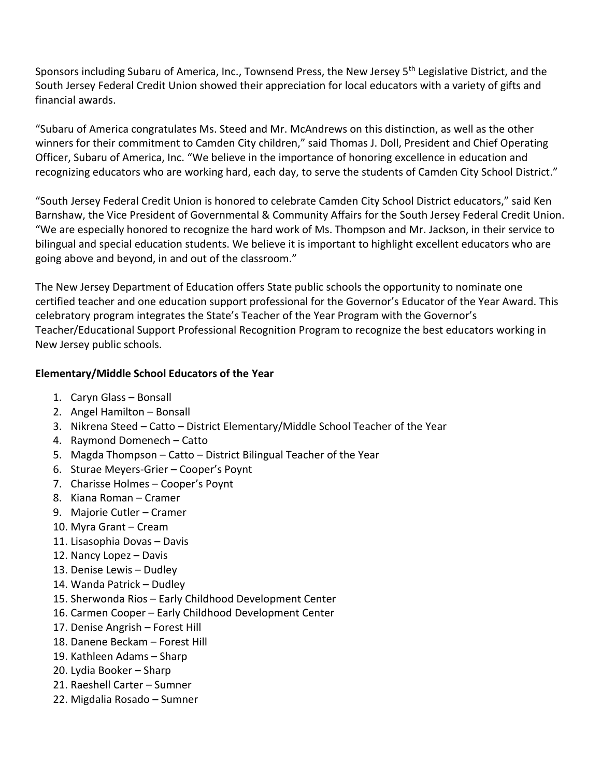Sponsors including Subaru of America, Inc., Townsend Press, the New Jersey 5<sup>th</sup> Legislative District, and the South Jersey Federal Credit Union showed their appreciation for local educators with a variety of gifts and financial awards.

"Subaru of America congratulates Ms. Steed and Mr. McAndrews on this distinction, as well as the other winners for their commitment to Camden City children," said Thomas J. Doll, President and Chief Operating Officer, Subaru of America, Inc. "We believe in the importance of honoring excellence in education and recognizing educators who are working hard, each day, to serve the students of Camden City School District."

"South Jersey Federal Credit Union is honored to celebrate Camden City School District educators," said Ken Barnshaw, the Vice President of Governmental & Community Affairs for the South Jersey Federal Credit Union. "We are especially honored to recognize the hard work of Ms. Thompson and Mr. Jackson, in their service to bilingual and special education students. We believe it is important to highlight excellent educators who are going above and beyond, in and out of the classroom."

The New Jersey Department of Education offers State public schools the opportunity to nominate one certified teacher and one education support professional for the Governor's Educator of the Year Award. This celebratory program integrates the State's Teacher of the Year Program with the Governor's Teacher/Educational Support Professional Recognition Program to recognize the best educators working in New Jersey public schools.

## **Elementary/Middle School Educators of the Year**

- 1. Caryn Glass Bonsall
- 2. Angel Hamilton Bonsall
- 3. Nikrena Steed Catto District Elementary/Middle School Teacher of the Year
- 4. Raymond Domenech Catto
- 5. Magda Thompson Catto District Bilingual Teacher of the Year
- 6. Sturae Meyers-Grier Cooper's Poynt
- 7. Charisse Holmes Cooper's Poynt
- 8. Kiana Roman Cramer
- 9. Majorie Cutler Cramer
- 10. Myra Grant Cream
- 11. Lisasophia Dovas Davis
- 12. Nancy Lopez Davis
- 13. Denise Lewis Dudley
- 14. Wanda Patrick Dudley
- 15. Sherwonda Rios Early Childhood Development Center
- 16. Carmen Cooper Early Childhood Development Center
- 17. Denise Angrish Forest Hill
- 18. Danene Beckam Forest Hill
- 19. Kathleen Adams Sharp
- 20. Lydia Booker Sharp
- 21. Raeshell Carter Sumner
- 22. Migdalia Rosado Sumner